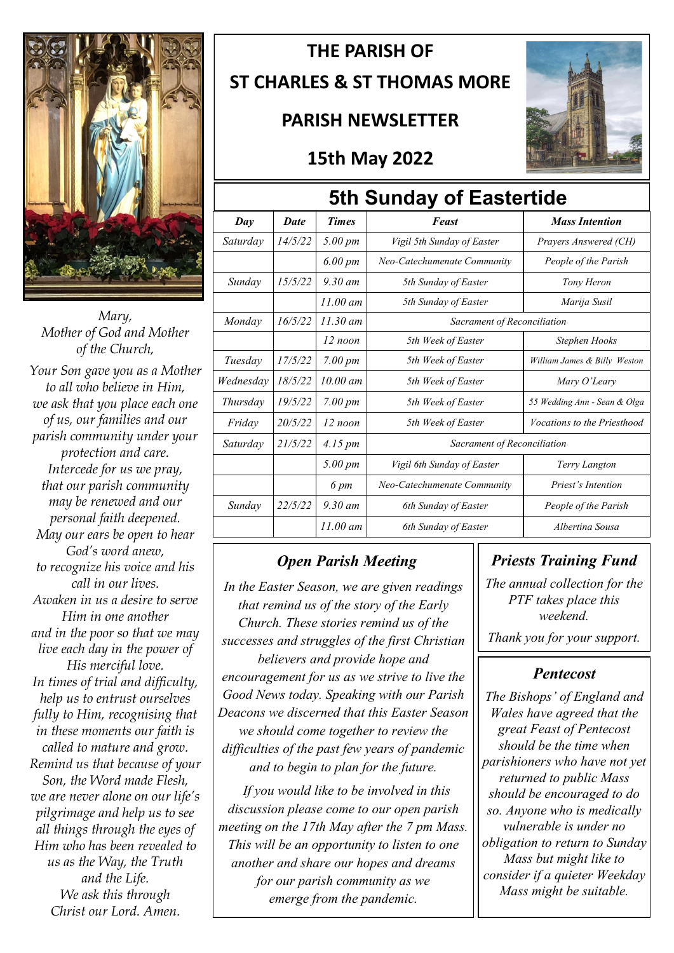

*Mary, Mother of God and Mother of the Church,* 

*Your Son gave you as a Mother to all who believe in Him, we ask that you place each one of us, our families and our parish community under your protection and care. Intercede for us we pray, that our parish community may be renewed and our personal faith deepened. May our ears be open to hear God's word anew, to recognize his voice and his call in our lives. Awaken in us a desire to serve Him in one another and in the poor so that we may live each day in the power of His merciful love. In times of trial and difficulty, help us to entrust ourselves fully to Him, recognising that in these moments our faith is called to mature and grow. Remind us that because of your Son, the Word made Flesh, we are never alone on our life's pilgrimage and help us to see all things through the eyes of Him who has been revealed to us as the Way, the Truth and the Life. We ask this through Christ our Lord. Amen.*

# **THE PARISH OF**

## **ST CHARLES & ST THOMAS MORE**

## **PARISH NEWSLETTER**

## **15th May 2022**



| <b>5th Sunday of Eastertide</b>            |             |                     |                             |                                    |  |
|--------------------------------------------|-------------|---------------------|-----------------------------|------------------------------------|--|
| Day                                        | <b>Date</b> | <b>Times</b>        | Feast                       | <b>Mass Intention</b>              |  |
| Saturday                                   | 14/5/22     | 5.00 pm             | Vigil 5th Sunday of Easter  | Prayers Answered (CH)              |  |
|                                            |             | $6.00 \, \text{pm}$ | Neo-Catechumenate Community | People of the Parish               |  |
| 15/5/22<br>Sunday                          |             | $9.30 \text{ am}$   | 5th Sunday of Easter        | Tony Heron                         |  |
|                                            |             | 11.00 am            | 5th Sunday of Easter        | Marija Susil                       |  |
| Monday                                     | 16/5/22     | $11.30 \text{ }$ am | Sacrament of Reconciliation |                                    |  |
|                                            |             | $12$ noon           | 5th Week of Easter          | Stephen Hooks                      |  |
| Tuesday                                    | 17/5/22     | $7.00 \, \text{pm}$ | 5th Week of Easter          | William James & Billy Weston       |  |
| Wednesday                                  | 18/5/22     | $10,00 \,$ am       | 5th Week of Easter          | Mary O'Leary                       |  |
| Thursday                                   | 19/5/22     | $7.00 \, \text{pm}$ | 5th Week of Easter          | 55 Wedding Ann - Sean & Olga       |  |
| Friday                                     | 20/5/22     | $12$ noon           | 5th Week of Easter          | <i>Vocations to the Priesthood</i> |  |
| 21/5/22<br>$4.15 \, \text{pm}$<br>Saturday |             |                     | Sacrament of Reconciliation |                                    |  |
|                                            |             | 5.00 pm             | Vigil 6th Sunday of Easter  | Terry Langton                      |  |
|                                            |             | 6 pm                | Neo-Catechumenate Community | Priest's Intention                 |  |
| Sunday                                     | 22/5/22     | $9.30$ am           | 6th Sunday of Easter        | People of the Parish               |  |
|                                            |             | $11.00 \text{ }$ am | 6th Sunday of Easter        | Albertina Sousa                    |  |

## *Open Parish Meeting*

*In the Easter Season, we are given readings that remind us of the story of the Early Church. These stories remind us of the successes and struggles of the first Christian believers and provide hope and encouragement for us as we strive to live the Good News today. Speaking with our Parish Deacons we discerned that this Easter Season we should come together to review the difficulties of the past few years of pandemic and to begin to plan for the future.* 

 *If you would like to be involved in this discussion please come to our open parish meeting on the 17th May after the 7 pm Mass. This will be an opportunity to listen to one another and share our hopes and dreams for our parish community as we emerge from the pandemic.* 

## *Priests Training Fund*

*The annual collection for the PTF takes place this weekend.*

*Thank you for your support.*

### *Pentecost*

*The Bishops' of England and Wales have agreed that the great Feast of Pentecost should be the time when parishioners who have not yet returned to public Mass should be encouraged to do so. Anyone who is medically vulnerable is under no obligation to return to Sunday Mass but might like to consider if a quieter Weekday Mass might be suitable.*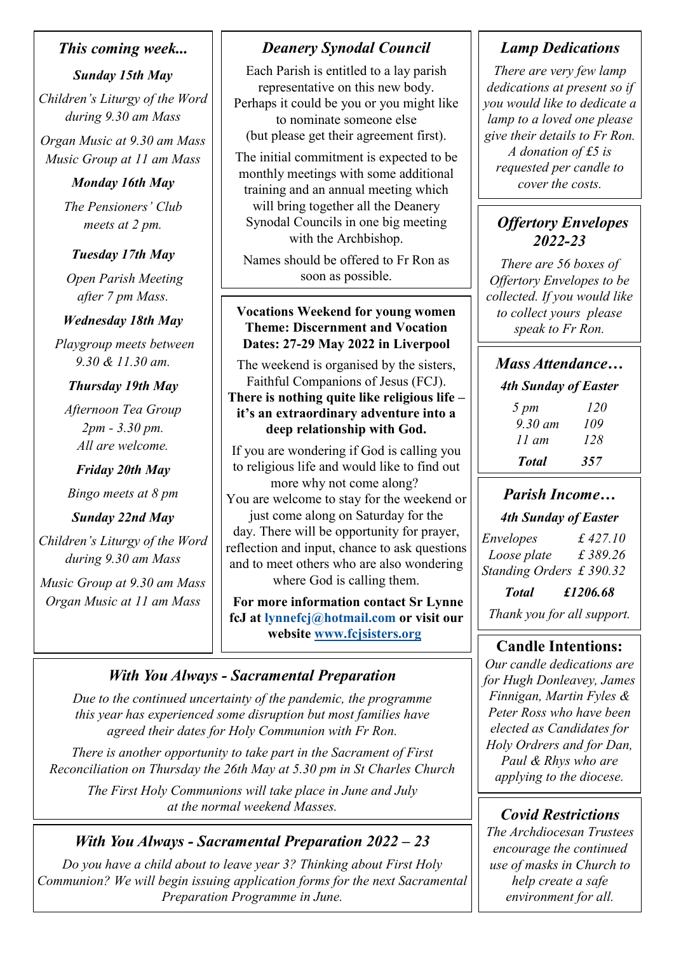## *This coming week...*

## *Sunday 15th May*

*Children's Liturgy of the Word during 9.30 am Mass*

*Organ Music at 9.30 am Mass Music Group at 11 am Mass*

## *Monday 16th May*

*The Pensioners' Club meets at 2 pm.*

## *Tuesday 17th May*

*Open Parish Meeting after 7 pm Mass.*

## *Wednesday 18th May*

*Playgroup meets between 9.30 & 11.30 am.*

## *Thursday 19th May*

*Afternoon Tea Group 2pm - 3.30 pm. All are welcome.*

## *Friday 20th May*

*Bingo meets at 8 pm*

## *Sunday 22nd May*

*Children's Liturgy of the Word during 9.30 am Mass*

*Music Group at 9.30 am Mass Organ Music at 11 am Mass* 

## *Deanery Synodal Council*

Each Parish is entitled to a lay parish representative on this new body. Perhaps it could be you or you might like to nominate someone else (but please get their agreement first).

The initial commitment is expected to be monthly meetings with some additional training and an annual meeting which will bring together all the Deanery Synodal Councils in one big meeting with the Archbishop.

Names should be offered to Fr Ron as soon as possible.

#### **Vocations Weekend for young women Theme: Discernment and Vocation Dates: 27-29 May 2022 in Liverpool**

The weekend is organised by the sisters, Faithful Companions of Jesus (FCJ). **There is nothing quite like religious life – it's an extraordinary adventure into a deep relationship with God.**

If you are wondering if God is calling you to religious life and would like to find out more why not come along? You are welcome to stay for the weekend or just come along on Saturday for the day. There will be opportunity for prayer, reflection and input, chance to ask questions and to meet others who are also wondering

where God is calling them.

**For more information contact Sr Lynne fcJ at [lynnefcj@hotmail.com](mailto:lynnefcj@hotmail.com) or visit our website [www.fcjsisters.org](https://linkprotect.cudasvc.com/url?a=http%3a%2f%2fwww.fcjsisters.org%2f&c=E,1,JxFLiHK5p_7gr8mFxFuYtOr1riWi9RniGjCAXoNGtYgM1m6LBueqDbd8lqoWl5cOX4I7XM4NoPTXj12Jhzy-ZJuULoxzBaxDAub2g89TMF3F&typo=1)**

## *With You Always - Sacramental Preparation*

*Due to the continued uncertainty of the pandemic, the programme this year has experienced some disruption but most families have agreed their dates for Holy Communion with Fr Ron.* 

*There is another opportunity to take part in the Sacrament of First Reconciliation on Thursday the 26th May at 5.30 pm in St Charles Church* 

*The First Holy Communions will take place in June and July at the normal weekend Masses.* 

## *With You Always - Sacramental Preparation 2022 – 23*

*Do you have a child about to leave year 3? Thinking about First Holy Communion? We will begin issuing application forms for the next Sacramental Preparation Programme in June.* 

## *Lamp Dedications*

*There are very few lamp dedications at present so if you would like to dedicate a lamp to a loved one please give their details to Fr Ron. A donation of £5 is requested per candle to cover the costs.* 

## *Offertory Envelopes 2022-23*

*There are 56 boxes of Offertory Envelopes to be collected. If you would like to collect yours please speak to Fr Ron.* 

## *Mass Attendance… 4th Sunday of Easter*

| 5 pm              | 120 |
|-------------------|-----|
| $9.30 \text{ am}$ | 109 |
| $11 \; am$        | 128 |
| Total             | 357 |

## *Parish Income…*

*4th Sunday of Easter*

| Envelopes                | £427.10  |
|--------------------------|----------|
| Loose plate              | £ 389.26 |
| Standing Orders £ 390.32 |          |

*Total £1206.68*

*Thank you for all support.*

## **Candle Intentions:**

*Our candle dedications are for Hugh Donleavey, James Finnigan, Martin Fyles & Peter Ross who have been elected as Candidates for Holy Ordrers and for Dan, Paul & Rhys who are applying to the diocese.*

## *Covid Restrictions*

*The Archdiocesan Trustees encourage the continued use of masks in Church to help create a safe environment for all.*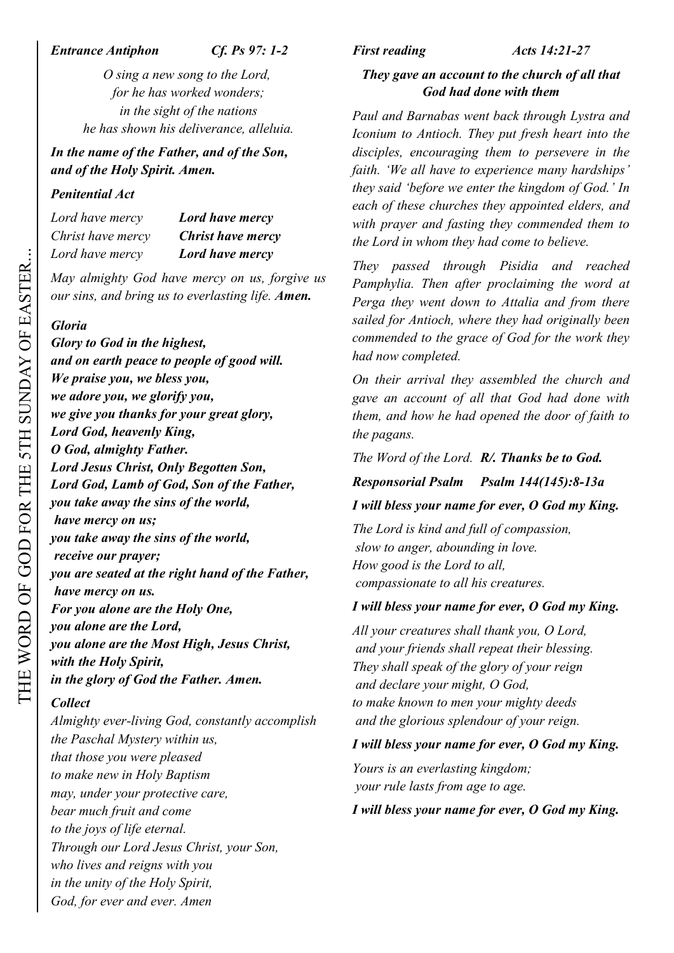#### *Entrance Antiphon Cf. Ps 97: 1-2*

*O sing a new song to the Lord, for he has worked wonders; in the sight of the nations he has shown his deliverance, alleluia.*

#### *In the name of the Father, and of the Son, and of the Holy Spirit. Amen.*

#### *Penitential Act*

*Lord have mercy Lord have mercy Christ have mercy Christ have mercy Lord have mercy Lord have mercy*

*May almighty God have mercy on us, forgive us our sins, and bring us to everlasting life. Amen.*

#### *Gloria*

*Glory to God in the highest, and on earth peace to people of good will. We praise you, we bless you, we adore you, we glorify you, we give you thanks for your great glory, Lord God, heavenly King, O God, almighty Father. Lord Jesus Christ, Only Begotten Son, Lord God, Lamb of God, Son of the Father, you take away the sins of the world, have mercy on us; you take away the sins of the world, receive our prayer; you are seated at the right hand of the Father, have mercy on us. For you alone are the Holy One, you alone are the Lord, you alone are the Most High, Jesus Christ, with the Holy Spirit, in the glory of God the Father. Amen.*

#### *Collect*

*Almighty ever-living God, constantly accomplish the Paschal Mystery within us, that those you were pleased to make new in Holy Baptism may, under your protective care, bear much fruit and come to the joys of life eternal. Through our Lord Jesus Christ, your Son, who lives and reigns with you in the unity of the Holy Spirit, God, for ever and ever. Amen*

#### *First reading Acts 14:21-27*

## *They gave an account to the church of all that God had done with them*

*Paul and Barnabas went back through Lystra and Iconium to Antioch. They put fresh heart into the disciples, encouraging them to persevere in the faith. 'We all have to experience many hardships' they said 'before we enter the kingdom of God.' In each of these churches they appointed elders, and with prayer and fasting they commended them to the Lord in whom they had come to believe.*

*They passed through Pisidia and reached Pamphylia. Then after proclaiming the word at Perga they went down to Attalia and from there sailed for Antioch, where they had originally been commended to the grace of God for the work they had now completed.*

*On their arrival they assembled the church and gave an account of all that God had done with them, and how he had opened the door of faith to the pagans.*

*The Word of the Lord. R/. Thanks be to God.*

### *Responsorial Psalm Psalm 144(145):8-13a*

### *I will bless your name for ever, O God my King.*

*The Lord is kind and full of compassion, slow to anger, abounding in love. How good is the Lord to all, compassionate to all his creatures.*

### *I will bless your name for ever, O God my King.*

*All your creatures shall thank you, O Lord, and your friends shall repeat their blessing. They shall speak of the glory of your reign and declare your might, O God, to make known to men your mighty deeds and the glorious splendour of your reign.*

### *I will bless your name for ever, O God my King.*

*Yours is an everlasting kingdom; your rule lasts from age to age.*

*I will bless your name for ever, O God my King.*